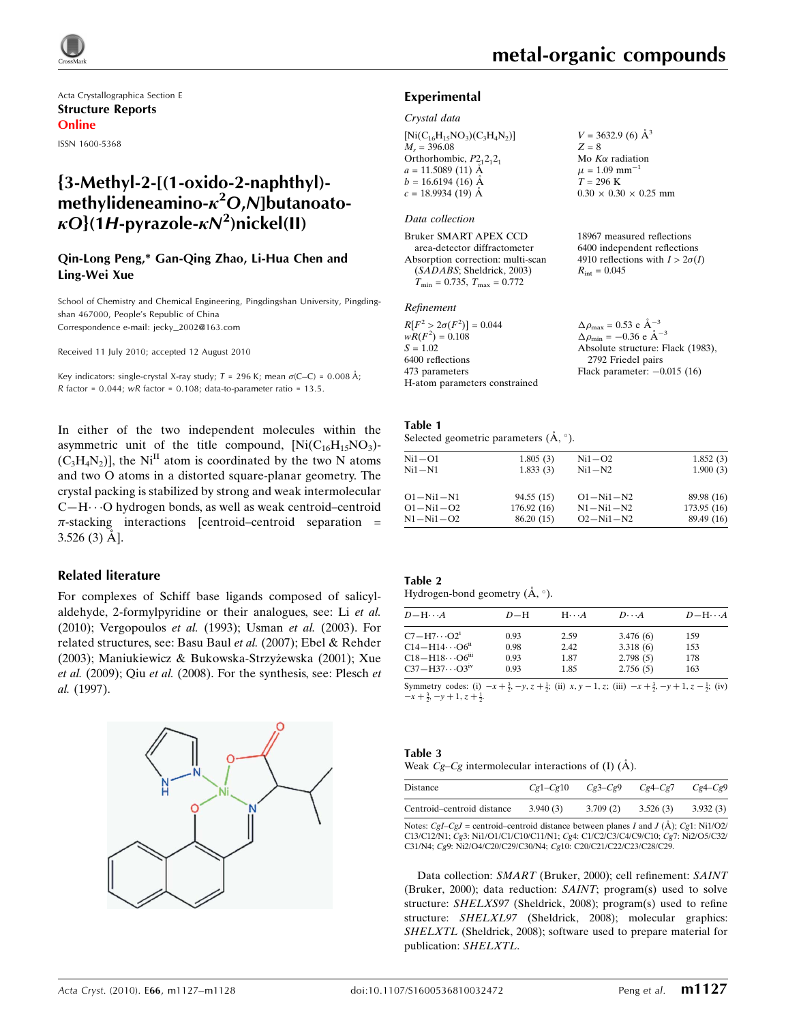

Acta Crystallographica Section E Structure Reports Online

ISSN 1600-5368

# {3-Methyl-2-[(1-oxido-2-naphthyl) methylideneamino- $\kappa^2$ O,N]butanoato- $\kappa O$ }(1H-pyrazole- $\kappa$ N<sup>2</sup>)nickel(II)

#### Qin-Long Peng,\* Gan-Qing Zhao, Li-Hua Chen and Ling-Wei Xue

School of Chemistry and Chemical Engineering, Pingdingshan University, Pingdingshan 467000, People's Republic of China Correspondence e-mail: jecky\_2002@163.com

Received 11 July 2010; accepted 12 August 2010

Key indicators: single-crystal X-ray study;  $T = 296$  K; mean  $\sigma$ (C–C) = 0.008 Å; R factor =  $0.044$ ; wR factor =  $0.108$ ; data-to-parameter ratio =  $13.5$ .

In either of the two independent molecules within the asymmetric unit of the title compound,  $[Ni(C_{16}H_{15}NO_3)]$  $(C_3H_4N_2)$ , the Ni<sup>II</sup> atom is coordinated by the two N atoms and two O atoms in a distorted square-planar geometry. The crystal packing is stabilized by strong and weak intermolecular C—H---O hydrogen bonds, as well as weak centroid–centroid  $\pi$ -stacking interactions [centroid–centroid separation =  $3.526(3)$  Å].

#### Related literature

For complexes of Schiff base ligands composed of salicylaldehyde, 2-formylpyridine or their analogues, see: Li et al. (2010); Vergopoulos et al. (1993); Usman et al. (2003). For related structures, see: Basu Baul et al. (2007); Ebel & Rehder (2003); Maniukiewicz & Bukowska-Strzyżewska (2001); Xue et al. (2009); Qiu et al. (2008). For the synthesis, see: Plesch et al. (1997).



 $V = 3632.9$  (6)  $\AA^3$ 

 $0.30 \times 0.30 \times 0.25$  mm

18967 measured reflections 6400 independent reflections 4910 reflections with  $I > 2\sigma(I)$ 

 $Z = 8$ Mo  $K\alpha$  radiation  $\mu = 1.09$  mm<sup>-1</sup>  $T = 296 \text{ K}$ 

 $R_{\text{int}} = 0.045$ 

#### Experimental

#### Crystal data

 $[Ni(C_{16}H_{15}NO_3)(C_3H_4N_2)]$  $M_r = 396.08$ Orthorhombic,  $P2_12_12_1$  $a = 11.5089(11)$  Å  $b = 16.6194(16)$  Å  $c = 18.9934(19)$  Å

#### Data collection

Bruker SMART APEX CCD area-detector diffractometer Absorption correction: multi-scan (SADABS; Sheldrick, 2003)  $T_{\text{min}} = 0.735$ ,  $T_{\text{max}} = 0.772$ 

#### Refinement

| $R[F^2 > 2\sigma(F^2)] = 0.044$ | $\Delta \rho_{\text{max}} = 0.53 \text{ e A}^{-3}$ |
|---------------------------------|----------------------------------------------------|
| $wR(F^2) = 0.108$               | $\Delta \rho_{\rm min} = -0.36$ e $\rm A^{-3}$     |
| $S = 1.02$                      | Absolute structure: Flack (1983),                  |
| 6400 reflections                | 2792 Friedel pairs                                 |
| 473 parameters                  | Flack parameter: $-0.015$ (16)                     |
| H-atom parameters constrained   |                                                    |

#### Table 1

Selected geometric parameters  $(\mathbf{A}, \circ)$ .

| 1.805(3)   | $Ni1-O2$          | 1.852(3)   |
|------------|-------------------|------------|
| 1.833(3)   | $Ni1 - N2$        | 1.900(3)   |
|            | $O1 - Ni1 - N2$   | 89.98 (16) |
| 176.92(16) | $N1 - N_11 - N_2$ | 173.95(16) |
| 86.20 (15) | $O2 - Ni1 - N2$   | 89.49 (16) |
|            | 94.55 (15)        |            |

#### Table 2

| Hydrogen-bond geometry $(A, \circ)$ . |  |  |
|---------------------------------------|--|--|
|                                       |  |  |
|                                       |  |  |

| $D - H \cdots A$                     | $D-H$ | $H\cdots A$ | $D\cdots A$ | $D - H \cdots A$ |
|--------------------------------------|-------|-------------|-------------|------------------|
| $C7 - H7 \cdots O2^i$                | 0.93  | 2.59        | 3.476(6)    | 159              |
| $C14 - H14 \cdots O6$ <sup>ii</sup>  | 0.98  | 2.42        | 3.318(6)    | 153              |
| $C18 - H18 \cdots 06$ <sup>iii</sup> | 0.93  | 1.87        | 2.798(5)    | 178              |
| $C37 - H37 \cdots O3^{iv}$           | 0.93  | 1.85        | 2.756(5)    | 163              |

Symmetry codes: (i)  $-x + \frac{3}{2}$ ,  $-y$ ,  $z + \frac{1}{2}$ ; (ii)  $x$ ,  $y - 1$ ,  $z$ ; (iii)  $-x + \frac{3}{2}$ ,  $-y + 1$ ,  $z - \frac{1}{2}$ ; (iv)  $-x+\frac{3}{2}, -y+1, z+\frac{1}{2}.$ 

#### Table 3

|  |  | Weak $Cg-Cg$ intermolecular interactions of (I) ( $\AA$ ). |  |  |
|--|--|------------------------------------------------------------|--|--|
|  |  |                                                            |  |  |
|  |  |                                                            |  |  |

| Distance                   | $Cg1-Cg10$ | $Cg3-Cg9$ | $Cg4-Cg7$ | $Cg4-Cg9$ |
|----------------------------|------------|-----------|-----------|-----------|
| Centroid–centroid distance | 3.940(3)   | 3.709(2)  | 3.526(3)  | 3.932(3)  |
|                            |            |           |           |           |

Notes:  $Cgl-Cgl =$  centroid–centroid distance between planes I and I ( $\AA$ ); Ce1: Ni1/O2/ C13/C12/N1; Cg3: Ni1/O1/C1/C10/C11/N1; Cg4: C1/C2/C3/C4/C9/C10; Cg7: Ni2/O5/C32/ C31/N4; Cg9: Ni2/O4/C20/C29/C30/N4; Cg10: C20/C21/C22/C23/C28/C29.

Data collection: SMART (Bruker, 2000); cell refinement: SAINT (Bruker, 2000); data reduction: SAINT; program(s) used to solve structure: SHELXS97 (Sheldrick, 2008); program(s) used to refine structure: SHELXL97 (Sheldrick, 2008); molecular graphics: SHELXTL (Sheldrick, 2008); software used to prepare material for publication: SHELXTL.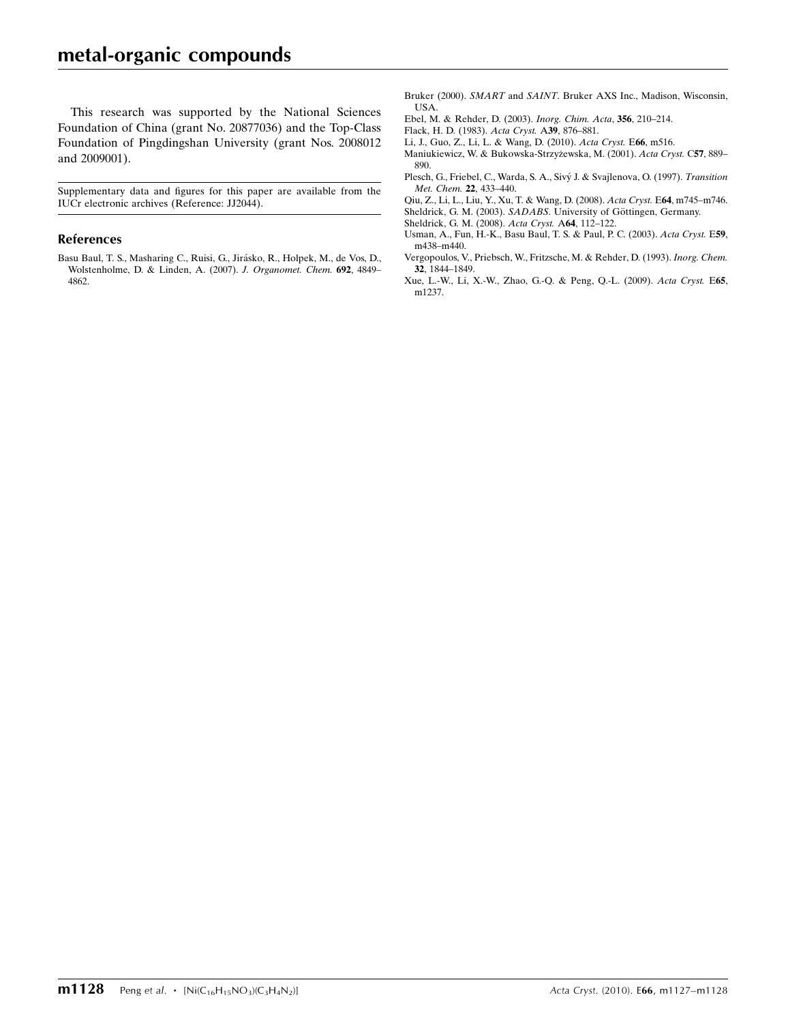This research was supported by the National Sciences Foundation of China (grant No. 20877036) and the Top-Class Foundation of Pingdingshan University (grant Nos. 2008012 and 2009001).

Supplementary data and figures for this paper are available from the IUCr electronic archives (Reference: JJ2044).

#### References

Basu Baul, T. S., Masharing C., Ruisi, G., Jirásko, R., Holpek, M., de Vos, D., [Wolstenholme, D. & Linden, A. \(2007\).](https://scripts.iucr.org/cgi-bin/cr.cgi?rm=pdfbb&cnor=jj2044&bbid=BB1) J. Organomet. Chem. 692, 4849– [4862.](https://scripts.iucr.org/cgi-bin/cr.cgi?rm=pdfbb&cnor=jj2044&bbid=BB1)

- Bruker (2000). SMART and SAINT[. Bruker AXS Inc., Madison, Wisconsin,](https://scripts.iucr.org/cgi-bin/cr.cgi?rm=pdfbb&cnor=jj2044&bbid=BB3) [USA.](https://scripts.iucr.org/cgi-bin/cr.cgi?rm=pdfbb&cnor=jj2044&bbid=BB3)
- [Ebel, M. & Rehder, D. \(2003\).](https://scripts.iucr.org/cgi-bin/cr.cgi?rm=pdfbb&cnor=jj2044&bbid=BB3) Inorg. Chim. Acta, 356, 210–214.
- [Flack, H. D. \(1983\).](https://scripts.iucr.org/cgi-bin/cr.cgi?rm=pdfbb&cnor=jj2044&bbid=BB4) Acta Cryst. A39, 876–881.
- [Li, J., Guo, Z., Li, L. & Wang, D. \(2010\).](https://scripts.iucr.org/cgi-bin/cr.cgi?rm=pdfbb&cnor=jj2044&bbid=BB5) Acta Cryst. E66, m516.
- Maniukiewicz, W. & Bukowska-Strzyżewska, M. (2001). Acta Cryst. C57, 889-[890.](https://scripts.iucr.org/cgi-bin/cr.cgi?rm=pdfbb&cnor=jj2044&bbid=BB6)
- Plesch, G., Friebel, C., Warda, S. A., Sivý J. & Svajlenova, O. (1997). Transition [Met. Chem.](https://scripts.iucr.org/cgi-bin/cr.cgi?rm=pdfbb&cnor=jj2044&bbid=BB7) 22, 433–440.

[Qiu, Z., Li, L., Liu, Y., Xu, T. & Wang, D. \(2008\).](https://scripts.iucr.org/cgi-bin/cr.cgi?rm=pdfbb&cnor=jj2044&bbid=BB8) Acta Cryst. E64, m745–m746. Sheldrick, G. M. (2003). SADABS. University of Göttingen, Germany.

- [Sheldrick, G. M. \(2008\).](https://scripts.iucr.org/cgi-bin/cr.cgi?rm=pdfbb&cnor=jj2044&bbid=BB10) Acta Cryst. A64, 112–122.
- [Usman, A., Fun, H.-K., Basu Baul, T. S. & Paul, P. C. \(2003\).](https://scripts.iucr.org/cgi-bin/cr.cgi?rm=pdfbb&cnor=jj2044&bbid=BB11) Acta Cryst. E59, [m438–m440.](https://scripts.iucr.org/cgi-bin/cr.cgi?rm=pdfbb&cnor=jj2044&bbid=BB11)
- [Vergopoulos, V., Priebsch, W., Fritzsche, M. & Rehder, D. \(1993\).](https://scripts.iucr.org/cgi-bin/cr.cgi?rm=pdfbb&cnor=jj2044&bbid=BB12) Inorg. Chem. 32[, 1844–1849.](https://scripts.iucr.org/cgi-bin/cr.cgi?rm=pdfbb&cnor=jj2044&bbid=BB12)
- [Xue, L.-W., Li, X.-W., Zhao, G.-Q. & Peng, Q.-L. \(2009\).](https://scripts.iucr.org/cgi-bin/cr.cgi?rm=pdfbb&cnor=jj2044&bbid=BB13) Acta Cryst. E65, [m1237.](https://scripts.iucr.org/cgi-bin/cr.cgi?rm=pdfbb&cnor=jj2044&bbid=BB13)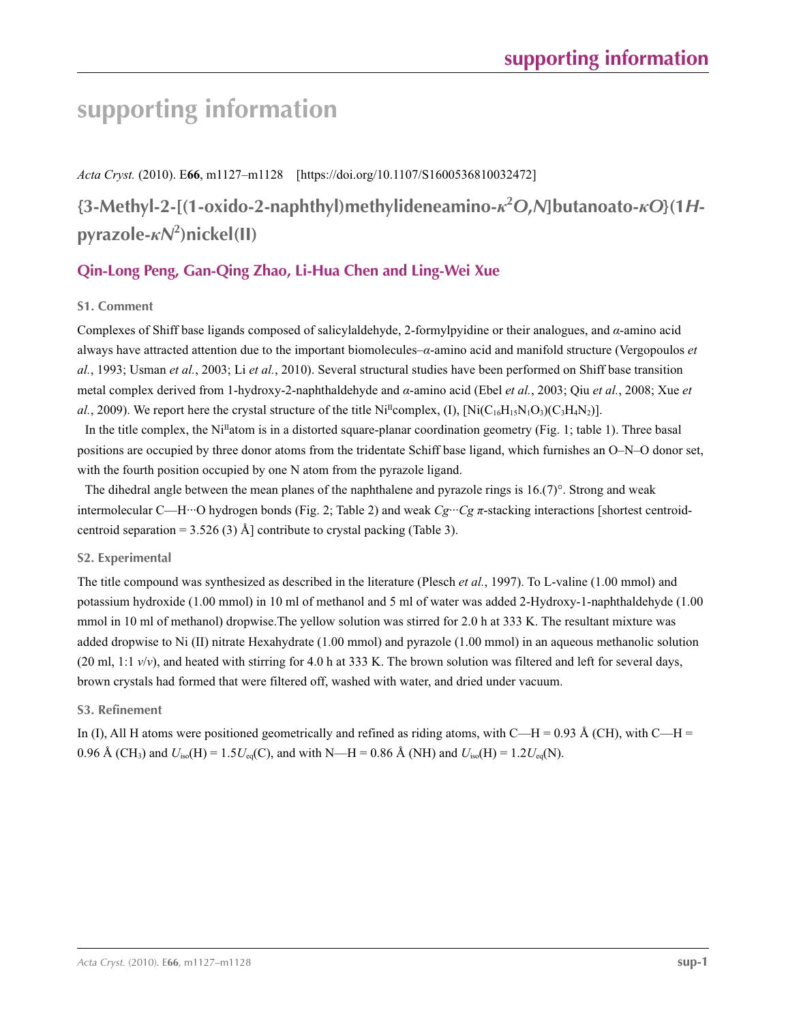*Acta Cryst.* (2010). E**66**, m1127–m1128 [https://doi.org/10.1107/S1600536810032472]

**{3-Methyl-2-[(1-oxido-2-naphthyl)methylideneamino-***κ***<sup>2</sup>** *O***,***N***]butanoato-***κO***}(1***H***pyrazole-***κN***<sup>2</sup> )nickel(II)**

# **Qin-Long Peng, Gan-Qing Zhao, Li-Hua Chen and Ling-Wei Xue**

## **S1. Comment**

Complexes of Shiff base ligands composed of salicylaldehyde, 2-formylpyidine or their analogues, and *α*-amino acid always have attracted attention due to the important biomolecules–*α*-amino acid and manifold structure (Vergopoulos *et al.*, 1993; Usman *et al.*, 2003; Li *et al.*, 2010). Several structural studies have been performed on Shiff base transition metal complex derived from 1-hydroxy-2-naphthaldehyde and *α*-amino acid (Ebel *et al.*, 2003; Qiu *et al.*, 2008; Xue *et al.*, 2009). We report here the crystal structure of the title Ni<sup>II</sup>complex, (I),  $\text{[Ni(C<sub>16</sub>H<sub>15</sub>N<sub>1</sub>O<sub>3</sub>)(C<sub>3</sub>H<sub>4</sub>N<sub>2</sub>)}$ .

In the title complex, the Ni<sup>II</sup>atom is in a distorted square-planar coordination geometry (Fig. 1; table 1). Three basal positions are occupied by three donor atoms from the tridentate Schiff base ligand, which furnishes an O–N–O donor set, with the fourth position occupied by one N atom from the pyrazole ligand.

The dihedral angle between the mean planes of the naphthalene and pyrazole rings is  $16(7)^\circ$ . Strong and weak intermolecular C—H···O hydrogen bonds (Fig. 2; Table 2) and weak *Cg*···*Cg π*-stacking interactions [shortest centroidcentroid separation =  $3.526(3)$  Å] contribute to crystal packing (Table 3).

#### **S2. Experimental**

The title compound was synthesized as described in the literature (Plesch *et al.*, 1997). To L-valine (1.00 mmol) and potassium hydroxide (1.00 mmol) in 10 ml of methanol and 5 ml of water was added 2-Hydroxy-1-naphthaldehyde (1.00 mmol in 10 ml of methanol) dropwise.The yellow solution was stirred for 2.0 h at 333 K. The resultant mixture was added dropwise to Ni (II) nitrate Hexahydrate (1.00 mmol) and pyrazole (1.00 mmol) in an aqueous methanolic solution (20 ml, 1:1  $v/v$ ), and heated with stirring for 4.0 h at 333 K. The brown solution was filtered and left for several days, brown crystals had formed that were filtered off, washed with water, and dried under vacuum.

## **S3. Refinement**

In (I), All H atoms were positioned geometrically and refined as riding atoms, with C—H = 0.93 Å (CH), with C—H = 0.96 Å (CH<sub>3</sub>) and  $U_{iso}(H) = 1.5U_{eq}(C)$ , and with N—H = 0.86 Å (NH) and  $U_{iso}(H) = 1.2U_{eq}(N)$ .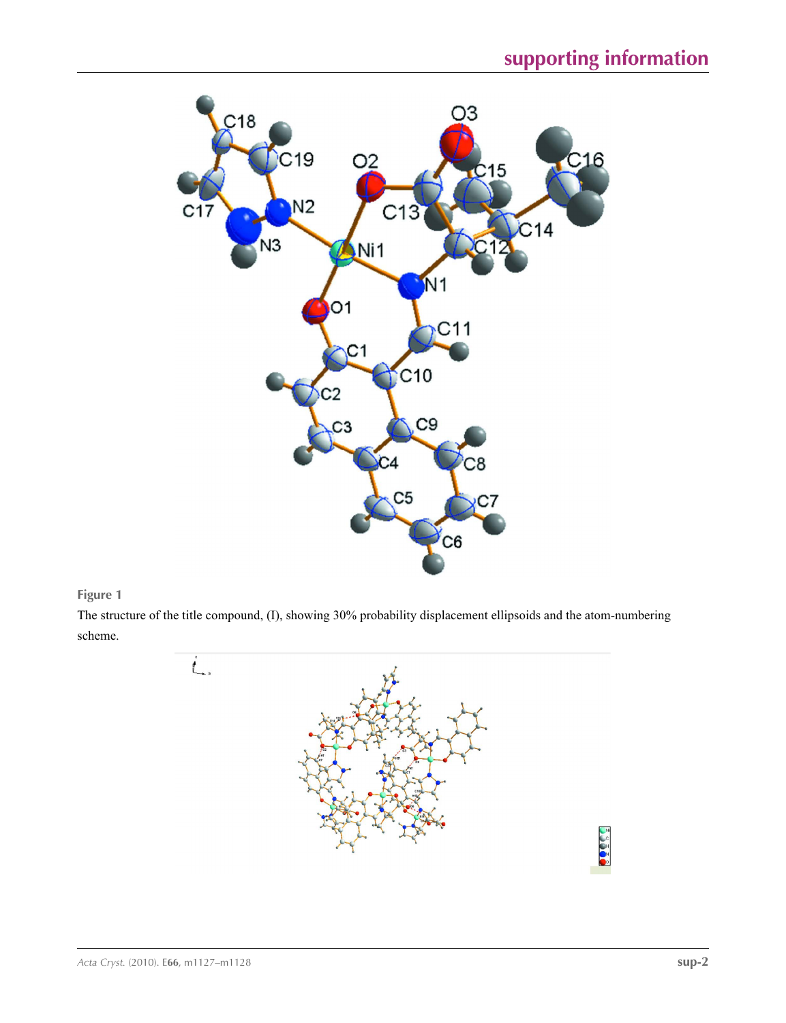

### **Figure 1**

The structure of the title compound, (I), showing 30% probability displacement ellipsoids and the atom-numbering scheme.

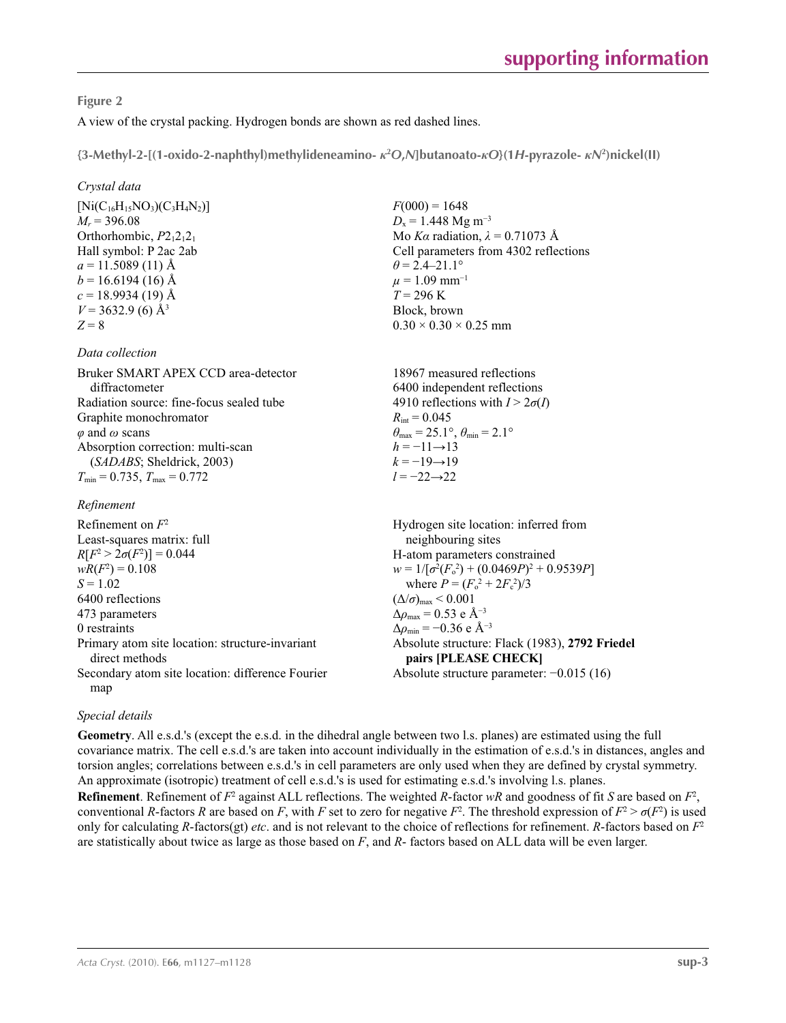### **Figure 2**

A view of the crystal packing. Hydrogen bonds are shown as red dashed lines.

**{3-Methyl-2-[(1-oxido-2-naphthyl)methylideneamino-** *κ***<sup>2</sup>** *O***,***N***]butanoato-***κO***}(1***H***-pyrazole-** *κN***<sup>2</sup> )nickel(II)** 

### *Crystal data*

 $[Ni(C_{16}H_{15}NO_3)(C_3H_4N_2)]$  $M_r$  = 396.08 Orthorhombic,  $P2_12_12_1$ Hall symbol: P 2ac 2ab  $a = 11.5089(11)$  Å  $b = 16.6194(16)$  Å  $c = 18.9934(19)$  Å  $V = 3632.9$  (6) Å<sup>3</sup>  $Z = 8$ 

### *Data collection*

Bruker SMART APEX CCD area-detector diffractometer Radiation source: fine-focus sealed tube Graphite monochromator *φ* and *ω* scans Absorption correction: multi-scan (*SADABS*; Sheldrick, 2003)  $T_{\text{min}} = 0.735, T_{\text{max}} = 0.772$ 

### *Refinement*

Refinement on *F*<sup>2</sup> Least-squares matrix: full *R*[ $F^2 > 2\sigma(F^2)$ ] = 0.044  $wR(F^2) = 0.108$  $S = 1.02$ 6400 reflections 473 parameters 0 restraints Primary atom site location: structure-invariant direct methods Secondary atom site location: difference Fourier map  $(\Delta/\sigma)_{\text{max}}$  < 0.001 Δ*ρ*max = 0.53 e Å−3  $\Delta\rho_{\rm min} = -0.36$  e Å<sup>-3</sup>

 $F(000) = 1648$  $D_x = 1.448$  Mg m<sup>-3</sup> Mo *Kα* radiation,  $\lambda = 0.71073$  Å Cell parameters from 4302 reflections  $\theta$  = 2.4–21.1°  $\mu = 1.09$  mm<sup>-1</sup>  $T = 296$  K Block, brown  $0.30 \times 0.30 \times 0.25$  mm

18967 measured reflections 6400 independent reflections 4910 reflections with  $I > 2\sigma(I)$  $R_{\text{int}} = 0.045$  $\theta_{\text{max}} = 25.1^{\circ}, \theta_{\text{min}} = 2.1^{\circ}$  $h = -11 \rightarrow 13$  $k = -19 \rightarrow 19$ *l* = −22→22

Hydrogen site location: inferred from neighbouring sites H-atom parameters constrained  $w = 1/[\sigma^2 (F_o^2) + (0.0469P)^2 + 0.9539P]$ where  $P = (F_o^2 + 2F_c^2)/3$ Absolute structure: Flack (1983), **2792 Friedel pairs [PLEASE CHECK]** Absolute structure parameter: −0.015 (16)

## *Special details*

**Geometry**. All e.s.d.'s (except the e.s.d. in the dihedral angle between two l.s. planes) are estimated using the full covariance matrix. The cell e.s.d.'s are taken into account individually in the estimation of e.s.d.'s in distances, angles and torsion angles; correlations between e.s.d.'s in cell parameters are only used when they are defined by crystal symmetry. An approximate (isotropic) treatment of cell e.s.d.'s is used for estimating e.s.d.'s involving l.s. planes.

**Refinement**. Refinement of  $F^2$  against ALL reflections. The weighted *R*-factor  $wR$  and goodness of fit *S* are based on  $F^2$ , conventional *R*-factors *R* are based on *F*, with *F* set to zero for negative  $F^2$ . The threshold expression of  $F^2 > \sigma(F^2)$  is used only for calculating *R*-factors(gt) *etc*. and is not relevant to the choice of reflections for refinement. *R*-factors based on *F*<sup>2</sup> are statistically about twice as large as those based on *F*, and *R*- factors based on ALL data will be even larger.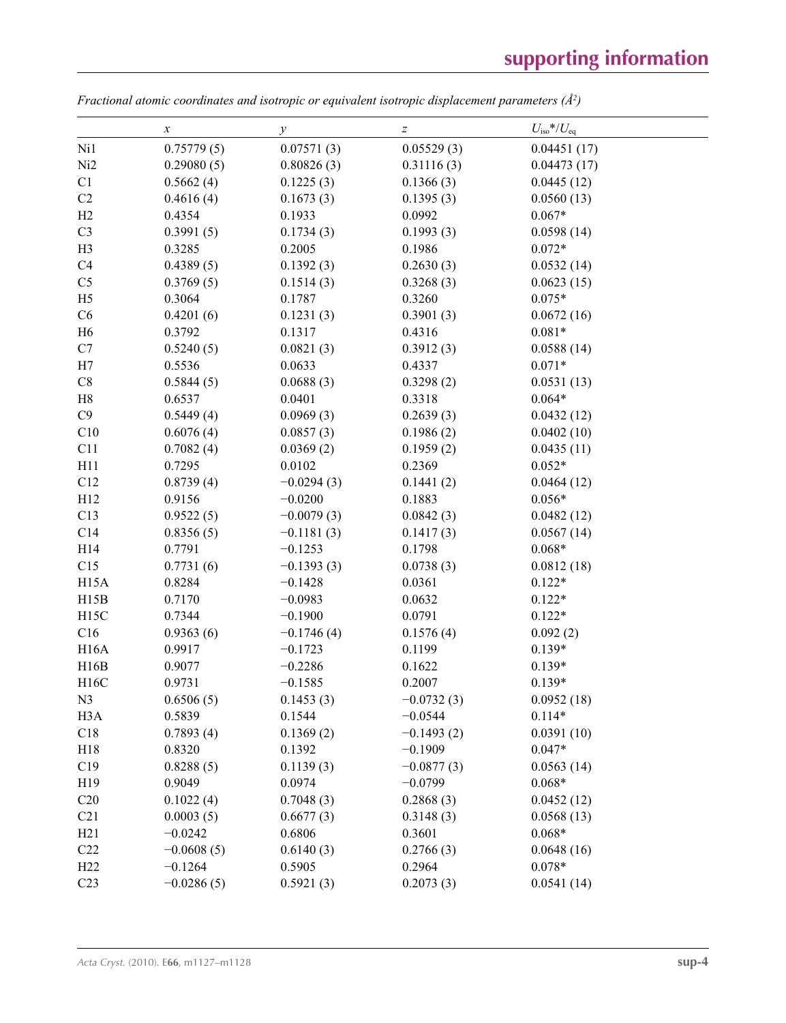$\overline{\phantom{0}}$ 

|                   | $\boldsymbol{x}$ | у            | $\boldsymbol{Z}$ | $U_{\rm iso}*/U_{\rm eq}$ |  |
|-------------------|------------------|--------------|------------------|---------------------------|--|
| Ni1               | 0.75779(5)       | 0.07571(3)   | 0.05529(3)       | 0.04451(17)               |  |
| Ni2               | 0.29080(5)       | 0.80826(3)   | 0.31116(3)       | 0.04473(17)               |  |
| C1                | 0.5662(4)        | 0.1225(3)    | 0.1366(3)        | 0.0445(12)                |  |
| C2                | 0.4616(4)        | 0.1673(3)    | 0.1395(3)        | 0.0560(13)                |  |
| H2                | 0.4354           | 0.1933       | 0.0992           | $0.067*$                  |  |
| C <sub>3</sub>    | 0.3991(5)        | 0.1734(3)    | 0.1993(3)        | 0.0598(14)                |  |
| H <sub>3</sub>    | 0.3285           | 0.2005       | 0.1986           | $0.072*$                  |  |
| C4                | 0.4389(5)        | 0.1392(3)    | 0.2630(3)        | 0.0532(14)                |  |
| C <sub>5</sub>    | 0.3769(5)        | 0.1514(3)    | 0.3268(3)        | 0.0623(15)                |  |
| H <sub>5</sub>    | 0.3064           | 0.1787       | 0.3260           | $0.075*$                  |  |
| C6                | 0.4201(6)        | 0.1231(3)    | 0.3901(3)        | 0.0672(16)                |  |
| H <sub>6</sub>    | 0.3792           | 0.1317       | 0.4316           | $0.081*$                  |  |
| C7                | 0.5240(5)        | 0.0821(3)    | 0.3912(3)        | 0.0588(14)                |  |
| H7                | 0.5536           | 0.0633       | 0.4337           | $0.071*$                  |  |
| C8                | 0.5844(5)        | 0.0688(3)    | 0.3298(2)        | 0.0531(13)                |  |
| H8                | 0.6537           | 0.0401       | 0.3318           | $0.064*$                  |  |
| C9                | 0.5449(4)        | 0.0969(3)    | 0.2639(3)        | 0.0432(12)                |  |
| C10               | 0.6076(4)        | 0.0857(3)    | 0.1986(2)        | 0.0402(10)                |  |
| C11               | 0.7082(4)        | 0.0369(2)    | 0.1959(2)        | 0.0435(11)                |  |
| H11               | 0.7295           | 0.0102       | 0.2369           | $0.052*$                  |  |
| C12               | 0.8739(4)        | $-0.0294(3)$ | 0.1441(2)        | 0.0464(12)                |  |
| H12               | 0.9156           | $-0.0200$    | 0.1883           | $0.056*$                  |  |
| C13               | 0.9522(5)        | $-0.0079(3)$ | 0.0842(3)        | 0.0482(12)                |  |
| C14               | 0.8356(5)        | $-0.1181(3)$ | 0.1417(3)        | 0.0567(14)                |  |
| H14               | 0.7791           | $-0.1253$    | 0.1798           | $0.068*$                  |  |
| C15               | 0.7731(6)        | $-0.1393(3)$ | 0.0738(3)        | 0.0812(18)                |  |
| H <sub>15</sub> A | 0.8284           | $-0.1428$    | 0.0361           | $0.122*$                  |  |
| H15B              | 0.7170           | $-0.0983$    | 0.0632           | $0.122*$                  |  |
| H <sub>15</sub> C | 0.7344           | $-0.1900$    | 0.0791           | $0.122*$                  |  |
| C16               | 0.9363(6)        | $-0.1746(4)$ | 0.1576(4)        | 0.092(2)                  |  |
| <b>H16A</b>       | 0.9917           | $-0.1723$    | 0.1199           | $0.139*$                  |  |
| H16B              | 0.9077           | $-0.2286$    | 0.1622           | $0.139*$                  |  |
| H16C              | 0.9731           | $-0.1585$    | 0.2007           | $0.139*$                  |  |
| N <sub>3</sub>    | 0.6506(5)        | 0.1453(3)    | $-0.0732(3)$     | 0.0952(18)                |  |
| H <sub>3</sub> A  | 0.5839           | 0.1544       | $-0.0544$        | $0.114*$                  |  |
| C18               | 0.7893(4)        | 0.1369(2)    | $-0.1493(2)$     | 0.0391(10)                |  |
| H18               | 0.8320           | 0.1392       | $-0.1909$        | $0.047*$                  |  |
| C19               | 0.8288(5)        | 0.1139(3)    | $-0.0877(3)$     | 0.0563(14)                |  |
| H <sub>19</sub>   | 0.9049           | 0.0974       | $-0.0799$        | $0.068*$                  |  |
| C20               | 0.1022(4)        | 0.7048(3)    | 0.2868(3)        | 0.0452(12)                |  |
| C21               | 0.0003(5)        | 0.6677(3)    | 0.3148(3)        | 0.0568(13)                |  |
| H21               | $-0.0242$        | 0.6806       | 0.3601           | $0.068*$                  |  |
| C22               | $-0.0608(5)$     | 0.6140(3)    | 0.2766(3)        | 0.0648(16)                |  |
| H22               | $-0.1264$        | 0.5905       | 0.2964           | $0.078*$                  |  |
| C <sub>23</sub>   | $-0.0286(5)$     | 0.5921(3)    | 0.2073(3)        | 0.0541(14)                |  |

*Fractional atomic coordinates and isotropic or equivalent isotropic displacement parameters (Å<sup>2</sup>)*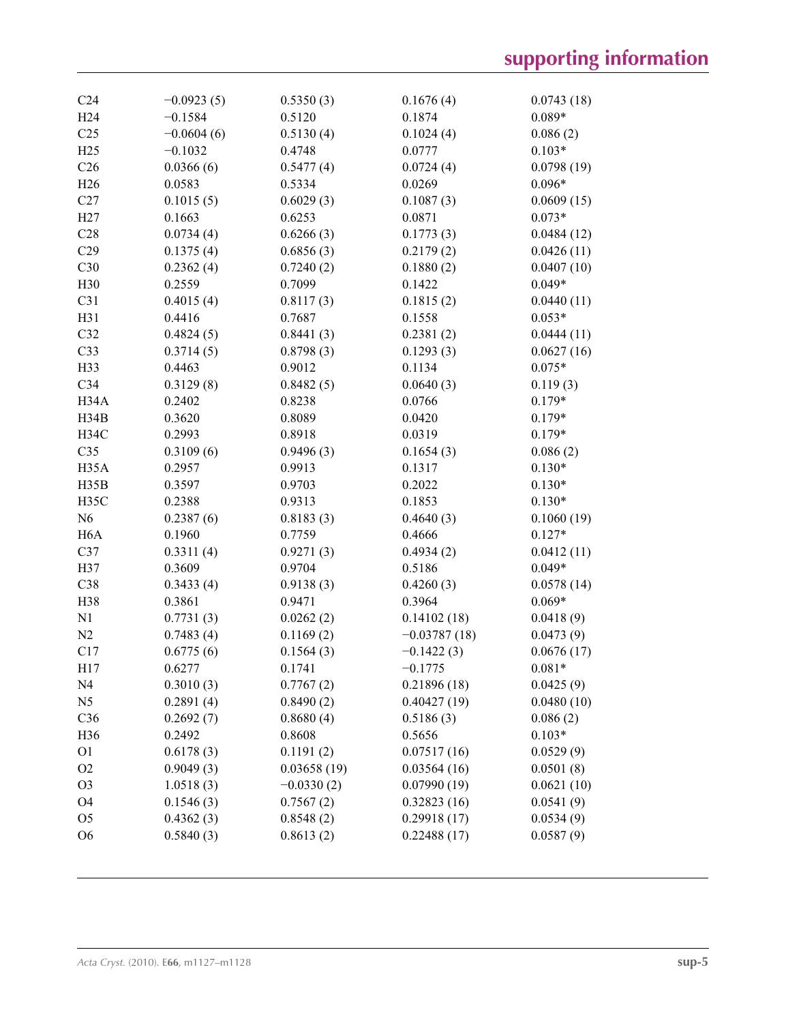| C <sub>24</sub>   | $-0.0923(5)$ | 0.5350(3)    | 0.1676(4)      | 0.0743(18) |
|-------------------|--------------|--------------|----------------|------------|
| H <sub>24</sub>   | $-0.1584$    | 0.5120       | 0.1874         | $0.089*$   |
| C <sub>25</sub>   | $-0.0604(6)$ | 0.5130(4)    | 0.1024(4)      | 0.086(2)   |
| H25               | $-0.1032$    | 0.4748       | 0.0777         | $0.103*$   |
| C <sub>26</sub>   | 0.0366(6)    | 0.5477(4)    | 0.0724(4)      | 0.0798(19) |
| H26               | 0.0583       | 0.5334       | 0.0269         | $0.096*$   |
| C27               | 0.1015(5)    | 0.6029(3)    | 0.1087(3)      | 0.0609(15) |
| H27               | 0.1663       | 0.6253       | 0.0871         | $0.073*$   |
| C28               | 0.0734(4)    | 0.6266(3)    | 0.1773(3)      | 0.0484(12) |
| C29               | 0.1375(4)    | 0.6856(3)    | 0.2179(2)      | 0.0426(11) |
| C30               | 0.2362(4)    | 0.7240(2)    | 0.1880(2)      | 0.0407(10) |
| H30               | 0.2559       | 0.7099       | 0.1422         | $0.049*$   |
| C31               | 0.4015(4)    | 0.8117(3)    | 0.1815(2)      | 0.0440(11) |
| H31               | 0.4416       | 0.7687       | 0.1558         | $0.053*$   |
| C32               | 0.4824(5)    | 0.8441(3)    | 0.2381(2)      | 0.0444(11) |
| C33               | 0.3714(5)    | 0.8798(3)    | 0.1293(3)      | 0.0627(16) |
| H33               | 0.4463       | 0.9012       | 0.1134         | $0.075*$   |
| C34               | 0.3129(8)    | 0.8482(5)    | 0.0640(3)      | 0.119(3)   |
| H34A              | 0.2402       | 0.8238       | 0.0766         | $0.179*$   |
| H34B              | 0.3620       | 0.8089       | 0.0420         | $0.179*$   |
| H34C              | 0.2993       | 0.8918       | 0.0319         | $0.179*$   |
| C <sub>35</sub>   | 0.3109(6)    | 0.9496(3)    | 0.1654(3)      | 0.086(2)   |
| H <sub>35</sub> A | 0.2957       | 0.9913       | 0.1317         | $0.130*$   |
| H35B              | 0.3597       | 0.9703       | 0.2022         | $0.130*$   |
| H35C              | 0.2388       | 0.9313       | 0.1853         | $0.130*$   |
| N <sub>6</sub>    | 0.2387(6)    | 0.8183(3)    | 0.4640(3)      | 0.1060(19) |
| H <sub>6</sub> A  | 0.1960       | 0.7759       | 0.4666         | $0.127*$   |
| C37               | 0.3311(4)    | 0.9271(3)    | 0.4934(2)      | 0.0412(11) |
| H37               | 0.3609       | 0.9704       | 0.5186         | $0.049*$   |
| C38               | 0.3433(4)    | 0.9138(3)    | 0.4260(3)      | 0.0578(14) |
| H38               | 0.3861       | 0.9471       | 0.3964         | $0.069*$   |
| N1                | 0.7731(3)    | 0.0262(2)    | 0.14102(18)    | 0.0418(9)  |
| N <sub>2</sub>    | 0.7483(4)    | 0.1169(2)    | $-0.03787(18)$ | 0.0473(9)  |
| C17               | 0.6775(6)    | 0.1564(3)    | $-0.1422(3)$   | 0.0676(17) |
| H17               | 0.6277       | 0.1741       | $-0.1775$      | $0.081*$   |
| N <sub>4</sub>    | 0.3010(3)    | 0.7767(2)    | 0.21896(18)    | 0.0425(9)  |
| N <sub>5</sub>    | 0.2891(4)    | 0.8490(2)    | 0.40427(19)    | 0.0480(10) |
| C36               | 0.2692(7)    | 0.8680(4)    | 0.5186(3)      | 0.086(2)   |
| H36               | 0.2492       | 0.8608       | 0.5656         | $0.103*$   |
| O <sub>1</sub>    | 0.6178(3)    | 0.1191(2)    | 0.07517(16)    | 0.0529(9)  |
| O <sub>2</sub>    | 0.9049(3)    | 0.03658(19)  | 0.03564(16)    | 0.0501(8)  |
| O <sub>3</sub>    | 1.0518(3)    | $-0.0330(2)$ | 0.07990(19)    | 0.0621(10) |
| O <sub>4</sub>    | 0.1546(3)    | 0.7567(2)    | 0.32823(16)    | 0.0541(9)  |
| O <sub>5</sub>    | 0.4362(3)    | 0.8548(2)    | 0.29918(17)    | 0.0534(9)  |
| O <sub>6</sub>    | 0.5840(3)    | 0.8613(2)    | 0.22488(17)    | 0.0587(9)  |
|                   |              |              |                |            |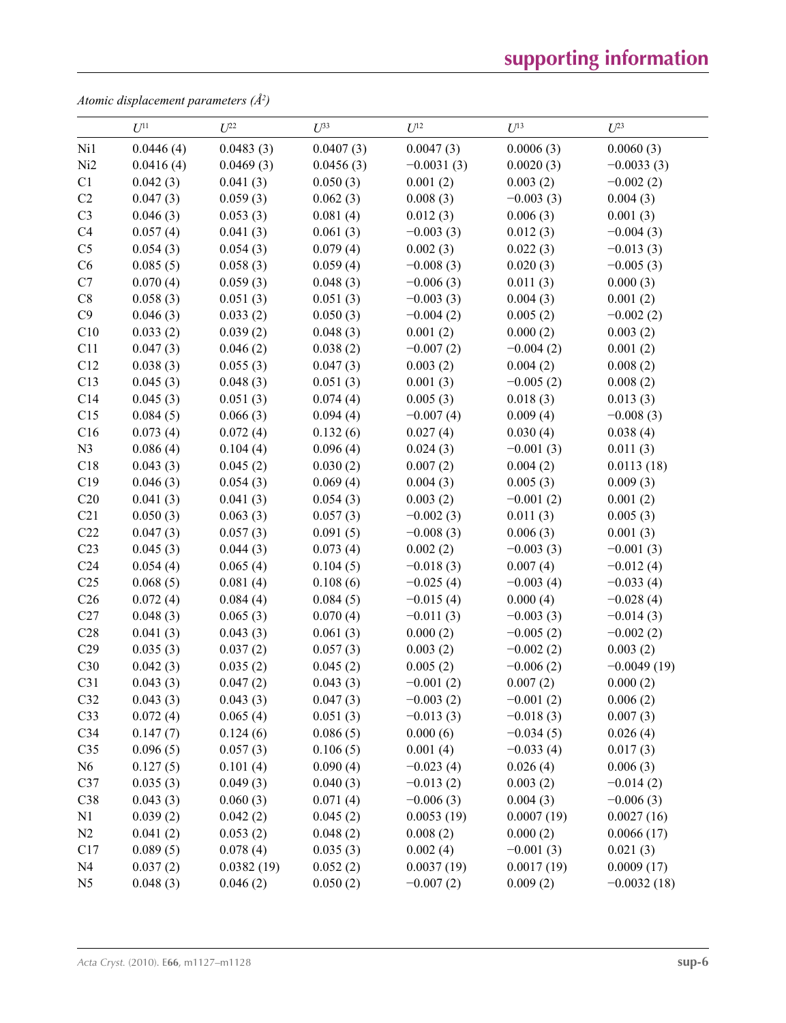*Atomic displacement parameters (Å2 )*

|                 | $U^{11}$  | $U^{22}$   | $U^{33}$  | $U^{12}$     | $U^{13}$    | $U^{23}$      |
|-----------------|-----------|------------|-----------|--------------|-------------|---------------|
| Ni1             | 0.0446(4) | 0.0483(3)  | 0.0407(3) | 0.0047(3)    | 0.0006(3)   | 0.0060(3)     |
| Ni <sub>2</sub> | 0.0416(4) | 0.0469(3)  | 0.0456(3) | $-0.0031(3)$ | 0.0020(3)   | $-0.0033(3)$  |
| C1              | 0.042(3)  | 0.041(3)   | 0.050(3)  | 0.001(2)     | 0.003(2)    | $-0.002(2)$   |
| C2              | 0.047(3)  | 0.059(3)   | 0.062(3)  | 0.008(3)     | $-0.003(3)$ | 0.004(3)      |
| C <sub>3</sub>  | 0.046(3)  | 0.053(3)   | 0.081(4)  | 0.012(3)     | 0.006(3)    | 0.001(3)      |
| C <sub>4</sub>  | 0.057(4)  | 0.041(3)   | 0.061(3)  | $-0.003(3)$  | 0.012(3)    | $-0.004(3)$   |
| C <sub>5</sub>  | 0.054(3)  | 0.054(3)   | 0.079(4)  | 0.002(3)     | 0.022(3)    | $-0.013(3)$   |
| C6              | 0.085(5)  | 0.058(3)   | 0.059(4)  | $-0.008(3)$  | 0.020(3)    | $-0.005(3)$   |
| C7              | 0.070(4)  | 0.059(3)   | 0.048(3)  | $-0.006(3)$  | 0.011(3)    | 0.000(3)      |
| C8              | 0.058(3)  | 0.051(3)   | 0.051(3)  | $-0.003(3)$  | 0.004(3)    | 0.001(2)      |
| C9              | 0.046(3)  | 0.033(2)   | 0.050(3)  | $-0.004(2)$  | 0.005(2)    | $-0.002(2)$   |
| C10             | 0.033(2)  | 0.039(2)   | 0.048(3)  | 0.001(2)     | 0.000(2)    | 0.003(2)      |
| C11             | 0.047(3)  | 0.046(2)   | 0.038(2)  | $-0.007(2)$  | $-0.004(2)$ | 0.001(2)      |
| C12             | 0.038(3)  | 0.055(3)   | 0.047(3)  | 0.003(2)     | 0.004(2)    | 0.008(2)      |
| C13             | 0.045(3)  | 0.048(3)   | 0.051(3)  | 0.001(3)     | $-0.005(2)$ | 0.008(2)      |
| C14             | 0.045(3)  | 0.051(3)   | 0.074(4)  | 0.005(3)     | 0.018(3)    | 0.013(3)      |
| C15             | 0.084(5)  | 0.066(3)   | 0.094(4)  | $-0.007(4)$  | 0.009(4)    | $-0.008(3)$   |
| C16             | 0.073(4)  | 0.072(4)   | 0.132(6)  | 0.027(4)     | 0.030(4)    | 0.038(4)      |
| N <sub>3</sub>  | 0.086(4)  | 0.104(4)   | 0.096(4)  | 0.024(3)     | $-0.001(3)$ | 0.011(3)      |
| C18             | 0.043(3)  | 0.045(2)   | 0.030(2)  | 0.007(2)     | 0.004(2)    | 0.0113(18)    |
| C19             | 0.046(3)  | 0.054(3)   | 0.069(4)  | 0.004(3)     | 0.005(3)    | 0.009(3)      |
| C20             | 0.041(3)  | 0.041(3)   | 0.054(3)  | 0.003(2)     | $-0.001(2)$ | 0.001(2)      |
| C <sub>21</sub> | 0.050(3)  | 0.063(3)   | 0.057(3)  | $-0.002(3)$  | 0.011(3)    | 0.005(3)      |
| C22             | 0.047(3)  | 0.057(3)   | 0.091(5)  | $-0.008(3)$  | 0.006(3)    | 0.001(3)      |
| C <sub>23</sub> | 0.045(3)  | 0.044(3)   | 0.073(4)  | 0.002(2)     | $-0.003(3)$ | $-0.001(3)$   |
| C <sub>24</sub> | 0.054(4)  | 0.065(4)   | 0.104(5)  | $-0.018(3)$  | 0.007(4)    | $-0.012(4)$   |
| C <sub>25</sub> | 0.068(5)  | 0.081(4)   | 0.108(6)  | $-0.025(4)$  | $-0.003(4)$ | $-0.033(4)$   |
| C <sub>26</sub> | 0.072(4)  | 0.084(4)   | 0.084(5)  | $-0.015(4)$  | 0.000(4)    | $-0.028(4)$   |
| C27             | 0.048(3)  | 0.065(3)   | 0.070(4)  | $-0.011(3)$  | $-0.003(3)$ | $-0.014(3)$   |
| C28             | 0.041(3)  | 0.043(3)   | 0.061(3)  | 0.000(2)     | $-0.005(2)$ | $-0.002(2)$   |
| C29             | 0.035(3)  | 0.037(2)   | 0.057(3)  | 0.003(2)     | $-0.002(2)$ | 0.003(2)      |
| C30             | 0.042(3)  | 0.035(2)   | 0.045(2)  | 0.005(2)     | $-0.006(2)$ | $-0.0049(19)$ |
| C31             | 0.043(3)  | 0.047(2)   | 0.043(3)  | $-0.001(2)$  | 0.007(2)    | 0.000(2)      |
| C32             | 0.043(3)  | 0.043(3)   | 0.047(3)  | $-0.003(2)$  | $-0.001(2)$ | 0.006(2)      |
| C33             | 0.072(4)  | 0.065(4)   | 0.051(3)  | $-0.013(3)$  | $-0.018(3)$ | 0.007(3)      |
| C <sub>34</sub> | 0.147(7)  | 0.124(6)   | 0.086(5)  | 0.000(6)     | $-0.034(5)$ | 0.026(4)      |
| C <sub>35</sub> | 0.096(5)  | 0.057(3)   | 0.106(5)  | 0.001(4)     | $-0.033(4)$ | 0.017(3)      |
| N6              | 0.127(5)  | 0.101(4)   | 0.090(4)  | $-0.023(4)$  | 0.026(4)    | 0.006(3)      |
| C37             | 0.035(3)  | 0.049(3)   | 0.040(3)  | $-0.013(2)$  | 0.003(2)    | $-0.014(2)$   |
| C38             | 0.043(3)  | 0.060(3)   | 0.071(4)  | $-0.006(3)$  | 0.004(3)    | $-0.006(3)$   |
| N1              | 0.039(2)  | 0.042(2)   | 0.045(2)  | 0.0053(19)   | 0.0007(19)  | 0.0027(16)    |
| N2              | 0.041(2)  | 0.053(2)   | 0.048(2)  | 0.008(2)     | 0.000(2)    | 0.0066(17)    |
| C17             | 0.089(5)  | 0.078(4)   | 0.035(3)  | 0.002(4)     | $-0.001(3)$ | 0.021(3)      |
| N <sub>4</sub>  | 0.037(2)  | 0.0382(19) | 0.052(2)  | 0.0037(19)   | 0.0017(19)  | 0.0009(17)    |
| N <sub>5</sub>  | 0.048(3)  | 0.046(2)   | 0.050(2)  | $-0.007(2)$  | 0.009(2)    | $-0.0032(18)$ |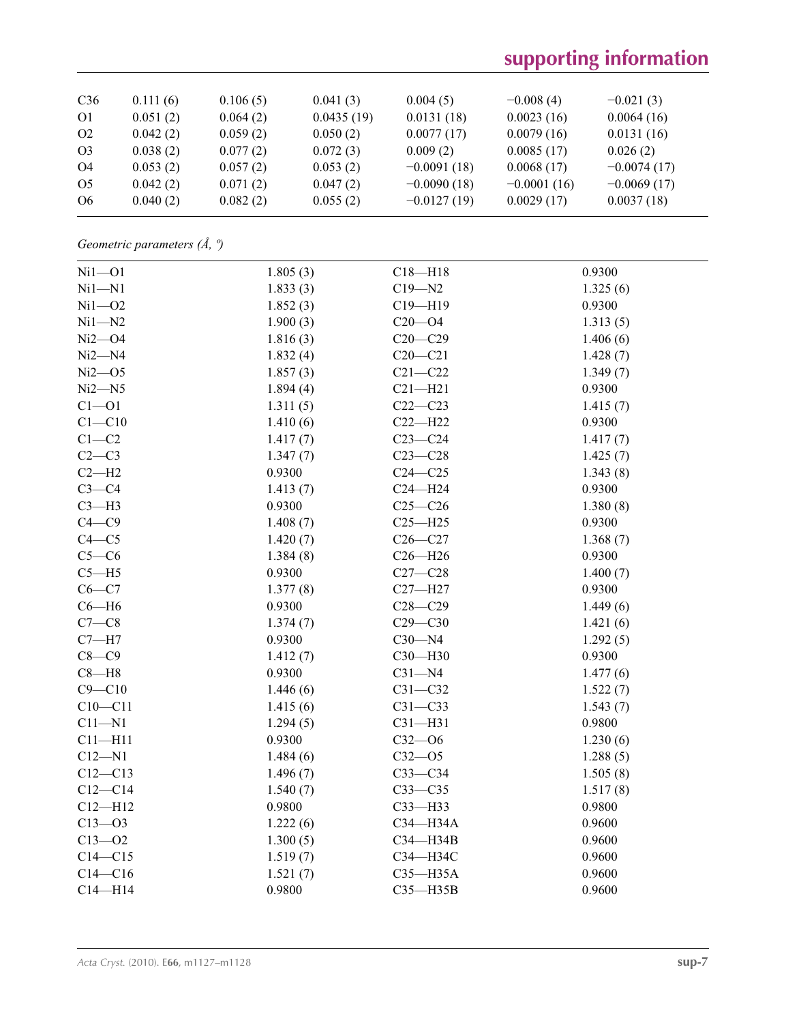| C36            | 0.111(6) | 0.106(5) | 0.041(3)   | 0.004(5)      | $-0.008(4)$   | $-0.021(3)$   |
|----------------|----------|----------|------------|---------------|---------------|---------------|
| O <sub>1</sub> | 0.051(2) | 0.064(2) | 0.0435(19) | 0.0131(18)    | 0.0023(16)    | 0.0064(16)    |
| O <sub>2</sub> | 0.042(2) | 0.059(2) | 0.050(2)   | 0.0077(17)    | 0.0079(16)    | 0.0131(16)    |
| O <sub>3</sub> | 0.038(2) | 0.077(2) | 0.072(3)   | 0.009(2)      | 0.0085(17)    | 0.026(2)      |
| O4             | 0.053(2) | 0.057(2) | 0.053(2)   | $-0.0091(18)$ | 0.0068(17)    | $-0.0074(17)$ |
| O <sub>5</sub> | 0.042(2) | 0.071(2) | 0.047(2)   | $-0.0090(18)$ | $-0.0001(16)$ | $-0.0069(17)$ |
| O <sub>6</sub> | 0.040(2) | 0.082(2) | 0.055(2)   | $-0.0127(19)$ | 0.0029(17)    | 0.0037(18)    |

*Geometric parameters (Å, º)*

| $Ni1 - O1$  | 1.805(3) | $C18 - H18$  | 0.9300   |
|-------------|----------|--------------|----------|
| $Ni1 - N1$  | 1.833(3) | $C19 - N2$   | 1.325(6) |
| $Ni1 - O2$  | 1.852(3) | $C19 - H19$  | 0.9300   |
| $Ni1 - N2$  | 1.900(3) | $C20 - 04$   | 1.313(5) |
| $Ni2 - O4$  | 1.816(3) | $C20 - C29$  | 1.406(6) |
| $Ni2 - N4$  | 1.832(4) | $C20-C21$    | 1.428(7) |
| $Ni2 - O5$  | 1.857(3) | $C21 - C22$  | 1.349(7) |
| $Ni2 - N5$  | 1.894(4) | $C21 - H21$  | 0.9300   |
| $C1 - 01$   | 1.311(5) | $C22-C23$    | 1.415(7) |
| $C1 - C10$  | 1.410(6) | $C22-H22$    | 0.9300   |
| $C1-C2$     | 1.417(7) | $C23-C24$    | 1.417(7) |
| $C2-C3$     | 1.347(7) | $C23-C28$    | 1.425(7) |
| $C2-H2$     | 0.9300   | $C24 - C25$  | 1.343(8) |
| $C3-C4$     | 1.413(7) | $C24 - H24$  | 0.9300   |
| $C3-H3$     | 0.9300   | $C25-C26$    | 1.380(8) |
| $C4 - C9$   | 1.408(7) | $C25 - H25$  | 0.9300   |
| $C4 - C5$   | 1.420(7) | $C26-C27$    | 1.368(7) |
| $C5-C6$     | 1.384(8) | $C26 - H26$  | 0.9300   |
| $C5 - H5$   | 0.9300   | $C27-C28$    | 1.400(7) |
| $C6-C7$     | 1.377(8) | $C27 - H27$  | 0.9300   |
| $C6 - H6$   | 0.9300   | $C28 - C29$  | 1.449(6) |
| $C7-C8$     | 1.374(7) | $C29 - C30$  | 1.421(6) |
| $C7 - H7$   | 0.9300   | $C30 - N4$   | 1.292(5) |
| $C8-C9$     | 1.412(7) | C30-H30      | 0.9300   |
| $C8 - H8$   | 0.9300   | $C31 - N4$   | 1.477(6) |
| $C9 - C10$  | 1.446(6) | $C31 - C32$  | 1.522(7) |
| $C10-C11$   | 1.415(6) | $C31 - C33$  | 1.543(7) |
| $C11 - N1$  | 1.294(5) | $C31 - H31$  | 0.9800   |
| $C11 - H11$ | 0.9300   | $C32 - 06$   | 1.230(6) |
| $C12 - N1$  | 1.484(6) | $C32 - 05$   | 1.288(5) |
| $C12 - C13$ | 1.496(7) | $C33-C34$    | 1.505(8) |
| $C12-C14$   | 1.540(7) | $C33-C35$    | 1.517(8) |
| $C12 - H12$ | 0.9800   | $C33$ -H33   | 0.9800   |
| $C13 - 03$  | 1.222(6) | C34-H34A     | 0.9600   |
| $C13 - 02$  | 1.300(5) | C34-H34B     | 0.9600   |
| $C14 - C15$ | 1.519(7) | СЗ4-НЗ4С     | 0.9600   |
| $C14 - C16$ | 1.521(7) | $C35 - H35A$ | 0.9600   |
| $C14 - H14$ | 0.9800   | $C35 - H35B$ | 0.9600   |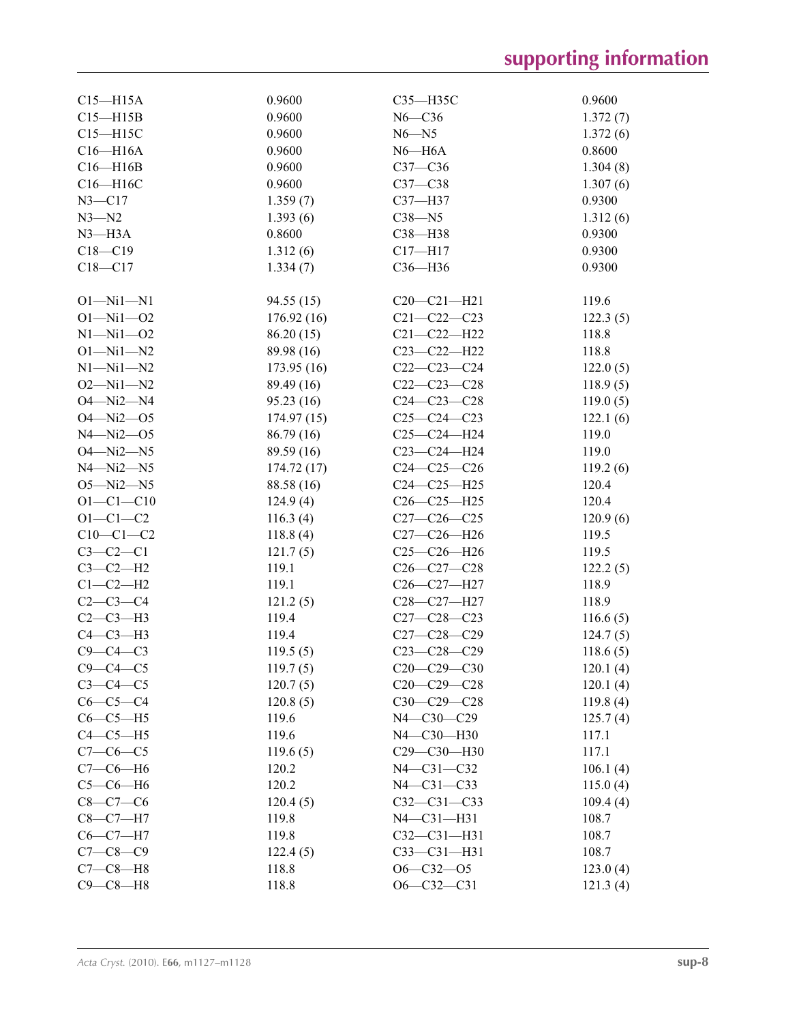| $C15 - H15A$    | 0.9600     | $C35 - H35C$      | 0.9600   |
|-----------------|------------|-------------------|----------|
| $C15 - H15B$    | 0.9600     | $N6 - C36$        | 1.372(7) |
| $C15 - H15C$    | 0.9600     | $N6 - N5$         | 1.372(6) |
| $C16 - H16A$    | 0.9600     | $N6 - H6A$        | 0.8600   |
| $C16 - H16B$    | 0.9600     | $C37 - C36$       | 1.304(8) |
| C16-H16C        | 0.9600     | $C37-C38$         | 1.307(6) |
| $N3 - C17$      | 1.359(7)   | C37-H37           | 0.9300   |
| $N3 - N2$       | 1.393(6)   | $C38 - N5$        |          |
| $N3 - H3A$      | 0.8600     |                   | 1.312(6) |
|                 |            | C38-H38           | 0.9300   |
| $C18 - C19$     | 1.312(6)   | $C17 - H17$       | 0.9300   |
| $C18 - C17$     | 1.334(7)   | C36-H36           | 0.9300   |
| $O1 - Ni1 - N1$ | 94.55 (15) | $C20-C21-H21$     | 119.6    |
| $O1 - Ni1 - O2$ | 176.92(16) | $C21 - C22 - C23$ | 122.3(5) |
| $N1 - N11 - 02$ | 86.20(15)  | $C21 - C22 - H22$ | 118.8    |
| $O1 - Ni1 - N2$ | 89.98 (16) | $C23 - C22 - H22$ | 118.8    |
| $N1 - N11 - N2$ | 173.95(16) | $C22-C23-C24$     | 122.0(5) |
| $O2 - Ni1 - N2$ | 89.49 (16) | $C22-C23-C28$     |          |
| $O4 - Ni2 - N4$ |            | $C24 - C23 - C28$ | 118.9(5) |
|                 | 95.23(16)  |                   | 119.0(5) |
| $O4 - Ni2 - O5$ | 174.97(15) | $C25-C24-C23$     | 122.1(6) |
| $N4 - Ni2 - O5$ | 86.79 (16) | $C25-C24-H24$     | 119.0    |
| $O4 - Ni2 - N5$ | 89.59 (16) | C23-C24-H24       | 119.0    |
| $N4 - Ni2 - N5$ | 174.72(17) | $C24-C25-C26$     | 119.2(6) |
| $O5 - Ni2 - N5$ | 88.58 (16) | $C24 - C25 - H25$ | 120.4    |
| $O1 - C1 - C10$ | 124.9(4)   | $C26 - C25 - H25$ | 120.4    |
| $O1 - C1 - C2$  | 116.3(4)   | $C27 - C26 - C25$ | 120.9(6) |
| $C10-C1-C2$     | 118.8(4)   | $C27-C26-H26$     | 119.5    |
| $C3-C2-C1$      | 121.7(5)   | $C25-C26-H26$     | 119.5    |
| $C3-C2-H2$      | 119.1      | $C26 - C27 - C28$ | 122.2(5) |
| $C1-C2-H2$      | 119.1      | C26-C27-H27       | 118.9    |
| $C2-C3-C4$      | 121.2(5)   | C28-C27-H27       | 118.9    |
| $C2-C3-H3$      | 119.4      | $C27 - C28 - C23$ | 116.6(5) |
| $C4-C3-H3$      | 119.4      | $C27-C28-C29$     | 124.7(5) |
| $C9 - C4 - C3$  | 119.5(5)   | $C23 - C28 - C29$ | 118.6(5) |
| $C9 - C4 - C5$  | 119.7(5)   | $C20-C29-C30$     | 120.1(4) |
| $C3-C4-C5$      | 120.7(5)   | $C20-C29-C28$     | 120.1(4) |
| $C6-C5-C4$      | 120.8(5)   | C30-C29-C28       | 119.8(4) |
| $C6-C5-H5$      | 119.6      | N4-C30-C29        | 125.7(4) |
| $C4-C5-H5$      | 119.6      | N4-C30-H30        | 117.1    |
| $C7-C6-C5$      | 119.6(5)   | C29-C30-H30       | 117.1    |
| $C7-C6-H6$      | 120.2      | $N4 - C31 - C32$  | 106.1(4) |
| $C5-C6-H6$      | 120.2      | $N4 - C31 - C33$  | 115.0(4) |
| $C8 - C7 - C6$  | 120.4(5)   | $C32 - C31 - C33$ | 109.4(4) |
| $C8 - C7 - H7$  | 119.8      | $N4 - C31 - H31$  | 108.7    |
| $C6-C7-H7$      | 119.8      | $C32 - C31 - H31$ | 108.7    |
| $C7 - C8 - C9$  | 122.4(5)   | $C33 - C31 - H31$ | 108.7    |
| $C7-C8-H8$      | 118.8      | $O6 - C32 - O5$   | 123.0(4) |
| $C9 - C8 - H8$  |            | $O6 - C32 - C31$  |          |
|                 | 118.8      |                   | 121.3(4) |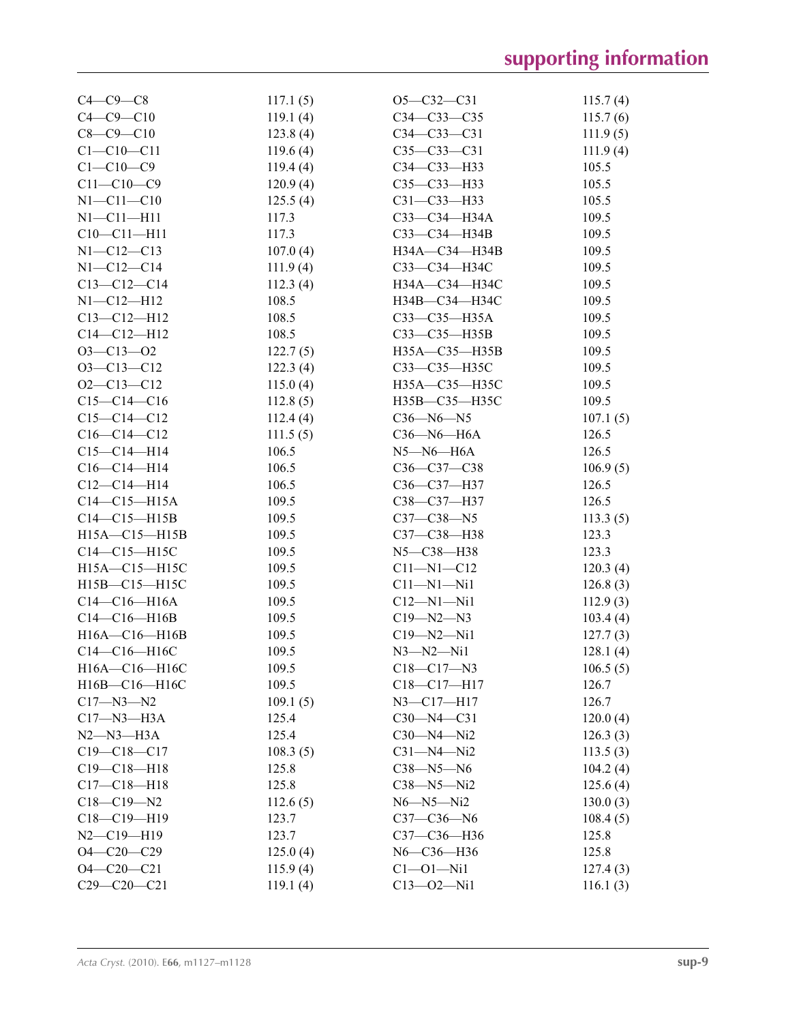| $C4-C9-C8$          | 117.1(5) | $O5 - C32 - C31$   | 115.7(4) |
|---------------------|----------|--------------------|----------|
| $C4 - C9 - C10$     | 119.1(4) | $C34 - C33 - C35$  | 115.7(6) |
| $C8 - C9 - C10$     | 123.8(4) | $C34 - C33 - C31$  | 111.9(5) |
| $C1 - C10 - C11$    | 119.6(4) | $C35 - C33 - C31$  | 111.9(4) |
| $C1 - C10 - C9$     | 119.4(4) | C34-C33-H33        | 105.5    |
| $C11 - C10 - C9$    | 120.9(4) | $C35 - C33 - H33$  | 105.5    |
| $N1 - C11 - C10$    | 125.5(4) | $C31 - C33 - H33$  | 105.5    |
| $N1 - C11 - H11$    | 117.3    | СЗЗ-СЗ4-НЗ4А       | 109.5    |
| $C10-C11-H11$       | 117.3    | $C33-C34-H34B$     | 109.5    |
| $N1 - C12 - C13$    | 107.0(4) | H34A-C34-H34B      | 109.5    |
| $N1 - C12 - C14$    | 111.9(4) | СЗЗ—СЗ4—НЗ4С       | 109.5    |
| $C13-C12-C14$       | 112.3(4) | H34A-C34-H34C      | 109.5    |
| $N1 - C12 - H12$    | 108.5    | H34B-C34-H34C      | 109.5    |
| $C13 - C12 - H12$   | 108.5    | $C33 - C35 - H35A$ | 109.5    |
| $C14 - C12 - H12$   | 108.5    | $C33 - C35 - H35B$ | 109.5    |
| $O3 - C13 - O2$     | 122.7(5) | H35A-C35-H35B      | 109.5    |
| $O3 - C13 - C12$    | 122.3(4) | C33-C35-H35C       | 109.5    |
| $O2 - C13 - C12$    | 115.0(4) | H35A-C35-H35C      | 109.5    |
| $C15-C14-C16$       | 112.8(5) | H35B-C35-H35C      | 109.5    |
| $C15-C14-C12$       | 112.4(4) | $C36 - N6 - N5$    | 107.1(5) |
| $C16-C14-C12$       | 111.5(5) | $C36$ —N6—H6A      | 126.5    |
| $C15-C14-H14$       | 106.5    | $N5 - N6 - H6A$    | 126.5    |
| $C16-C14-H14$       | 106.5    | $C36 - C37 - C38$  | 106.9(5) |
| $C12-C14-H14$       | 106.5    | C36-C37-H37        | 126.5    |
| $C14 - C15 - H15A$  | 109.5    | C38-C37-H37        | 126.5    |
| $C14-C15-H15B$      | 109.5    | $C37 - C38 - N5$   | 113.3(5) |
| $H15A - C15 - H15B$ | 109.5    | C37-C38-H38        | 123.3    |
| $C14-C15-H15C$      | 109.5    | N5-C38-H38         | 123.3    |
| H15A-C15-H15C       | 109.5    | $C11 - N1 - C12$   | 120.3(4) |
| H15B-C15-H15C       | 109.5    | $C11 - N1 - N11$   | 126.8(3) |
| $C14-C16-H16A$      | 109.5    | $C12 - N1 - N11$   | 112.9(3) |
| $C14-C16-H16B$      | 109.5    | $C19 - N2 - N3$    | 103.4(4) |
| H16A-C16-H16B       | 109.5    | $C19 - N2 - N11$   | 127.7(3) |
| C14-C16-H16C        | 109.5    | $N3 - N2 - N11$    | 128.1(4) |
| H16A-C16-H16C       | 109.5    | $C18 - C17 - N3$   | 106.5(5) |
| $H16B - C16 - H16C$ | 109.5    | $C18-C17-H17$      | 126.7    |
| $C17 - N3 - N2$     | 109.1(5) | $N3 - C17 - H17$   | 126.7    |
| $C17 - N3 - H3A$    | 125.4    | $C30 - N4 - C31$   | 120.0(4) |
| $N2$ — $N3$ — $H3A$ | 125.4    | $C30 - N4 - Ni2$   | 126.3(3) |
| $C19 - C18 - C17$   | 108.3(5) | $C31 - N4 - Ni2$   | 113.5(3) |
| $C19 - C18 - H18$   | 125.8    | $C38 - N5 - N6$    | 104.2(4) |
| $C17 - C18 - H18$   | 125.8    | $C38 - N5 - Ni2$   | 125.6(4) |
| $C18 - C19 - N2$    | 112.6(5) | $N6 - N5 - N12$    | 130.0(3) |
| $C18-C19-H19$       | 123.7    | $C37 - C36 - N6$   | 108.4(5) |
| $N2 - C19 - H19$    | 123.7    | C37-C36-H36        | 125.8    |
| $O4 - C20 - C29$    | 125.0(4) | N6-C36-H36         | 125.8    |
| $O4 - C20 - C21$    | 115.9(4) | $C1 - 01 - Ni1$    | 127.4(3) |
| $C29 - C20 - C21$   | 119.1(4) | $C13 - 02 - Ni1$   | 116.1(3) |
|                     |          |                    |          |